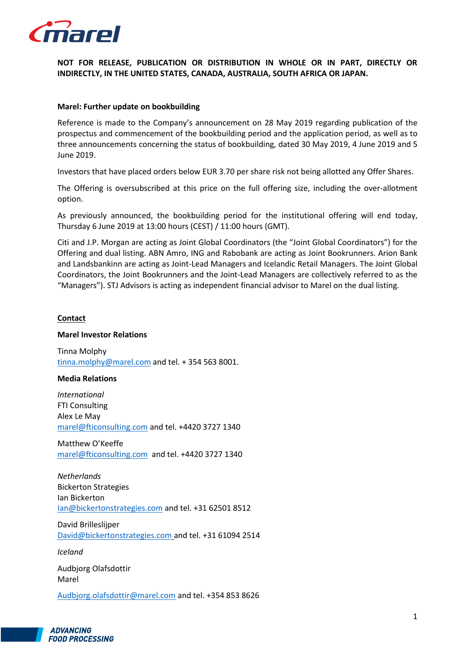

**NOT FOR RELEASE, PUBLICATION OR DISTRIBUTION IN WHOLE OR IN PART, DIRECTLY OR INDIRECTLY, IN THE UNITED STATES, CANADA, AUSTRALIA, SOUTH AFRICA OR JAPAN.**

## **Marel: Further update on bookbuilding**

Reference is made to the Company's announcement on 28 May 2019 regarding publication of the prospectus and commencement of the bookbuilding period and the application period, as well as to three announcements concerning the status of bookbuilding, dated 30 May 2019, 4 June 2019 and 5 June 2019.

Investors that have placed orders below EUR 3.70 per share risk not being allotted any Offer Shares.

The Offering is oversubscribed at this price on the full offering size, including the over-allotment option.

As previously announced, the bookbuilding period for the institutional offering will end today, Thursday 6 June 2019 at 13:00 hours (CEST) / 11:00 hours (GMT).

Citi and J.P. Morgan are acting as Joint Global Coordinators (the "Joint Global Coordinators") for the Offering and dual listing. ABN Amro, ING and Rabobank are acting as Joint Bookrunners. Arion Bank and Landsbankinn are acting as Joint-Lead Managers and Icelandic Retail Managers. The Joint Global Coordinators, the Joint Bookrunners and the Joint-Lead Managers are collectively referred to as the "Managers"). STJ Advisors is acting as independent financial advisor to Marel on the dual listing.

#### **Contact**

## **Marel Investor Relations**

Tinna Molphy [tinna.molphy@marel.com](mailto:tinna.molphy@marel.com) and tel. + 354 563 8001.

#### **Media Relations**

*International* FTI Consulting Alex Le May [marel@fticonsulting.com](mailto:marel@fticonsulting.com) and tel. +4420 3727 1340

Matthew O'Keeffe [marel@fticonsulting.com](mailto:marel@fticonsulting.com) and tel. +4420 3727 1340

*Netherlands* Bickerton Strategies Ian Bickerton [Ian@bickertonstrategies.com](mailto:Ian@bickertonstrategies.com) and tel. +31 62501 8512

David Brilleslijper [David@bickertonstrategies.com](mailto:David@bickertonstrategies.com) and tel. +31 61094 2514

*Iceland*

Audbjorg Olafsdottir Marel

[Audbjorg.olafsdottir@marel.com](mailto:Audbjorg.olafsdottir@marel.com) and tel. +354 853 8626

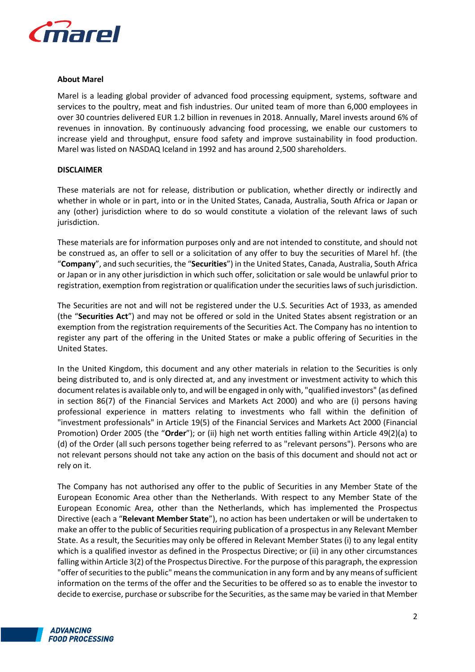

# **About Marel**

Marel is a leading global provider of advanced food processing equipment, systems, software and services to the poultry, meat and fish industries. Our united team of more than 6,000 employees in over 30 countries delivered EUR 1.2 billion in revenues in 2018. Annually, Marel invests around 6% of revenues in innovation. By continuously advancing food processing, we enable our customers to increase yield and throughput, ensure food safety and improve sustainability in food production. Marel was listed on NASDAQ Iceland in 1992 and has around 2,500 shareholders.

# **DISCLAIMER**

These materials are not for release, distribution or publication, whether directly or indirectly and whether in whole or in part, into or in the United States, Canada, Australia, South Africa or Japan or any (other) jurisdiction where to do so would constitute a violation of the relevant laws of such jurisdiction.

These materials are for information purposes only and are not intended to constitute, and should not be construed as, an offer to sell or a solicitation of any offer to buy the securities of Marel hf. (the "**Company**", and such securities, the "**Securities**") in the United States, Canada, Australia, South Africa or Japan or in any other jurisdiction in which such offer, solicitation or sale would be unlawful prior to registration, exemption from registration or qualification under the securities laws of such jurisdiction.

The Securities are not and will not be registered under the U.S. Securities Act of 1933, as amended (the "**Securities Act**") and may not be offered or sold in the United States absent registration or an exemption from the registration requirements of the Securities Act. The Company has no intention to register any part of the offering in the United States or make a public offering of Securities in the United States.

In the United Kingdom, this document and any other materials in relation to the Securities is only being distributed to, and is only directed at, and any investment or investment activity to which this document relates is available only to, and will be engaged in only with, "qualified investors" (as defined in section 86(7) of the Financial Services and Markets Act 2000) and who are (i) persons having professional experience in matters relating to investments who fall within the definition of "investment professionals" in Article 19(5) of the Financial Services and Markets Act 2000 (Financial Promotion) Order 2005 (the "**Order**"); or (ii) high net worth entities falling within Article 49(2)(a) to (d) of the Order (all such persons together being referred to as "relevant persons"). Persons who are not relevant persons should not take any action on the basis of this document and should not act or rely on it.

The Company has not authorised any offer to the public of Securities in any Member State of the European Economic Area other than the Netherlands. With respect to any Member State of the European Economic Area, other than the Netherlands, which has implemented the Prospectus Directive (each a "**Relevant Member State**"), no action has been undertaken or will be undertaken to make an offer to the public of Securities requiring publication of a prospectus in any Relevant Member State. As a result, the Securities may only be offered in Relevant Member States (i) to any legal entity which is a qualified investor as defined in the Prospectus Directive; or (ii) in any other circumstances falling within Article 3(2) of the Prospectus Directive. For the purpose of this paragraph, the expression "offer of securities to the public" means the communication in any form and by any means of sufficient information on the terms of the offer and the Securities to be offered so as to enable the investor to decide to exercise, purchase or subscribe for the Securities, as the same may be varied in that Member